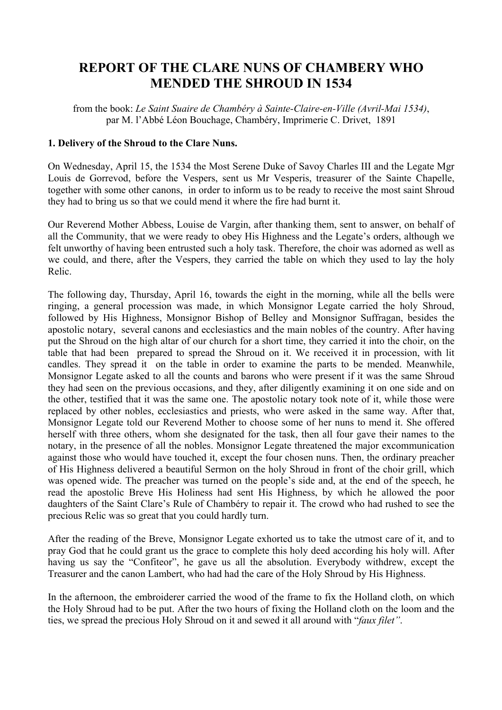## **REPORT OF THE CLARE NUNS OF CHAMBERY WHO MENDED THE SHROUD IN 1534**

from the book: *Le Saint Suaire de Chambéry à Sainte-Claire-en-Ville (Avril-Mai 1534)*, par M. l'Abbé Léon Bouchage, Chambéry, Imprimerie C. Drivet, 1891

## **1. Delivery of the Shroud to the Clare Nuns.**

On Wednesday, April 15, the 1534 the Most Serene Duke of Savoy Charles III and the Legate Mgr Louis de Gorrevod, before the Vespers, sent us Mr Vesperis, treasurer of the Sainte Chapelle, together with some other canons, in order to inform us to be ready to receive the most saint Shroud they had to bring us so that we could mend it where the fire had burnt it.

Our Reverend Mother Abbess, Louise de Vargin, after thanking them, sent to answer, on behalf of all the Community, that we were ready to obey His Highness and the Legate's orders, although we felt unworthy of having been entrusted such a holy task. Therefore, the choir was adorned as well as we could, and there, after the Vespers, they carried the table on which they used to lay the holy Relic.

The following day, Thursday, April 16, towards the eight in the morning, while all the bells were ringing, a general procession was made, in which Monsignor Legate carried the holy Shroud, followed by His Highness, Monsignor Bishop of Belley and Monsignor Suffragan, besides the apostolic notary, several canons and ecclesiastics and the main nobles of the country. After having put the Shroud on the high altar of our church for a short time, they carried it into the choir, on the table that had been prepared to spread the Shroud on it. We received it in procession, with lit candles. They spread it on the table in order to examine the parts to be mended. Meanwhile, Monsignor Legate asked to all the counts and barons who were present if it was the same Shroud they had seen on the previous occasions, and they, after diligently examining it on one side and on the other, testified that it was the same one. The apostolic notary took note of it, while those were replaced by other nobles, ecclesiastics and priests, who were asked in the same way. After that, Monsignor Legate told our Reverend Mother to choose some of her nuns to mend it. She offered herself with three others, whom she designated for the task, then all four gave their names to the notary, in the presence of all the nobles. Monsignor Legate threatened the major excommunication against those who would have touched it, except the four chosen nuns. Then, the ordinary preacher of His Highness delivered a beautiful Sermon on the holy Shroud in front of the choir grill, which was opened wide. The preacher was turned on the people's side and, at the end of the speech, he read the apostolic Breve His Holiness had sent His Highness, by which he allowed the poor daughters of the Saint Clare's Rule of Chambéry to repair it. The crowd who had rushed to see the precious Relic was so great that you could hardly turn.

After the reading of the Breve, Monsignor Legate exhorted us to take the utmost care of it, and to pray God that he could grant us the grace to complete this holy deed according his holy will. After having us say the "Confiteor", he gave us all the absolution. Everybody withdrew, except the Treasurer and the canon Lambert, who had had the care of the Holy Shroud by His Highness.

In the afternoon, the embroiderer carried the wood of the frame to fix the Holland cloth, on which the Holy Shroud had to be put. After the two hours of fixing the Holland cloth on the loom and the ties, we spread the precious Holy Shroud on it and sewed it all around with "*faux filet"*.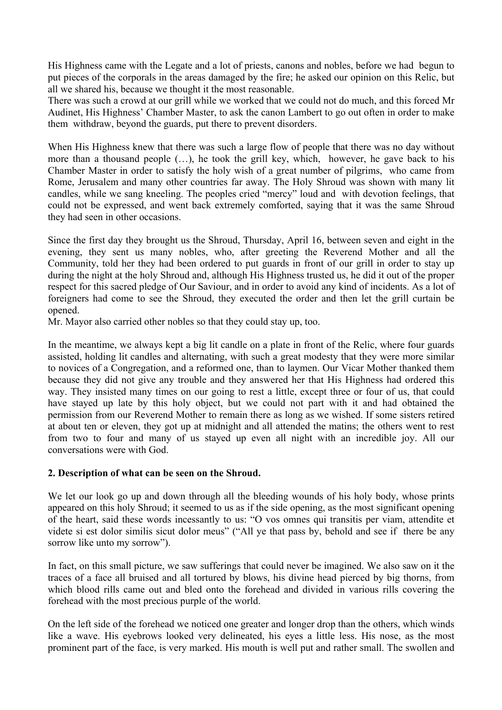His Highness came with the Legate and a lot of priests, canons and nobles, before we had begun to put pieces of the corporals in the areas damaged by the fire; he asked our opinion on this Relic, but all we shared his, because we thought it the most reasonable.

There was such a crowd at our grill while we worked that we could not do much, and this forced Mr Audinet, His Highness' Chamber Master, to ask the canon Lambert to go out often in order to make them withdraw, beyond the guards, put there to prevent disorders.

When His Highness knew that there was such a large flow of people that there was no day without more than a thousand people (…), he took the grill key, which, however, he gave back to his Chamber Master in order to satisfy the holy wish of a great number of pilgrims, who came from Rome, Jerusalem and many other countries far away. The Holy Shroud was shown with many lit candles, while we sang kneeling. The peoples cried "mercy" loud and with devotion feelings, that could not be expressed, and went back extremely comforted, saying that it was the same Shroud they had seen in other occasions.

Since the first day they brought us the Shroud, Thursday, April 16, between seven and eight in the evening, they sent us many nobles, who, after greeting the Reverend Mother and all the Community, told her they had been ordered to put guards in front of our grill in order to stay up during the night at the holy Shroud and, although His Highness trusted us, he did it out of the proper respect for this sacred pledge of Our Saviour, and in order to avoid any kind of incidents. As a lot of foreigners had come to see the Shroud, they executed the order and then let the grill curtain be opened.

Mr. Mayor also carried other nobles so that they could stay up, too.

In the meantime, we always kept a big lit candle on a plate in front of the Relic, where four guards assisted, holding lit candles and alternating, with such a great modesty that they were more similar to novices of a Congregation, and a reformed one, than to laymen. Our Vicar Mother thanked them because they did not give any trouble and they answered her that His Highness had ordered this way. They insisted many times on our going to rest a little, except three or four of us, that could have stayed up late by this holy object, but we could not part with it and had obtained the permission from our Reverend Mother to remain there as long as we wished. If some sisters retired at about ten or eleven, they got up at midnight and all attended the matins; the others went to rest from two to four and many of us stayed up even all night with an incredible joy. All our conversations were with God.

## **2. Description of what can be seen on the Shroud.**

We let our look go up and down through all the bleeding wounds of his holy body, whose prints appeared on this holy Shroud; it seemed to us as if the side opening, as the most significant opening of the heart, said these words incessantly to us: "O vos omnes qui transitis per viam, attendite et videte si est dolor similis sicut dolor meus" ("All ye that pass by, behold and see if there be any sorrow like unto my sorrow").

In fact, on this small picture, we saw sufferings that could never be imagined. We also saw on it the traces of a face all bruised and all tortured by blows, his divine head pierced by big thorns, from which blood rills came out and bled onto the forehead and divided in various rills covering the forehead with the most precious purple of the world.

On the left side of the forehead we noticed one greater and longer drop than the others, which winds like a wave. His eyebrows looked very delineated, his eyes a little less. His nose, as the most prominent part of the face, is very marked. His mouth is well put and rather small. The swollen and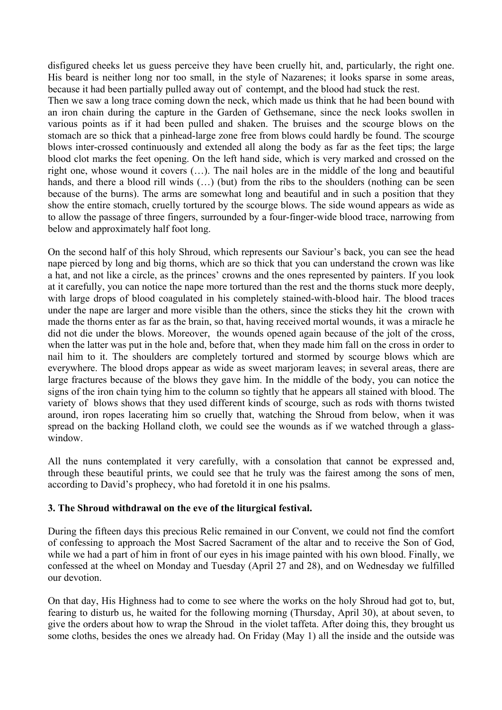disfigured cheeks let us guess perceive they have been cruelly hit, and, particularly, the right one. His beard is neither long nor too small, in the style of Nazarenes; it looks sparse in some areas, because it had been partially pulled away out of contempt, and the blood had stuck the rest.

Then we saw a long trace coming down the neck, which made us think that he had been bound with an iron chain during the capture in the Garden of Gethsemane, since the neck looks swollen in various points as if it had been pulled and shaken. The bruises and the scourge blows on the stomach are so thick that a pinhead-large zone free from blows could hardly be found. The scourge blows inter-crossed continuously and extended all along the body as far as the feet tips; the large blood clot marks the feet opening. On the left hand side, which is very marked and crossed on the right one, whose wound it covers (…). The nail holes are in the middle of the long and beautiful hands, and there a blood rill winds (...) (but) from the ribs to the shoulders (nothing can be seen because of the burns). The arms are somewhat long and beautiful and in such a position that they show the entire stomach, cruelly tortured by the scourge blows. The side wound appears as wide as to allow the passage of three fingers, surrounded by a four-finger-wide blood trace, narrowing from below and approximately half foot long.

On the second half of this holy Shroud, which represents our Saviour's back, you can see the head nape pierced by long and big thorns, which are so thick that you can understand the crown was like a hat, and not like a circle, as the princes' crowns and the ones represented by painters. If you look at it carefully, you can notice the nape more tortured than the rest and the thorns stuck more deeply, with large drops of blood coagulated in his completely stained-with-blood hair. The blood traces under the nape are larger and more visible than the others, since the sticks they hit the crown with made the thorns enter as far as the brain, so that, having received mortal wounds, it was a miracle he did not die under the blows. Moreover, the wounds opened again because of the jolt of the cross, when the latter was put in the hole and, before that, when they made him fall on the cross in order to nail him to it. The shoulders are completely tortured and stormed by scourge blows which are everywhere. The blood drops appear as wide as sweet marjoram leaves; in several areas, there are large fractures because of the blows they gave him. In the middle of the body, you can notice the signs of the iron chain tying him to the column so tightly that he appears all stained with blood. The variety of blows shows that they used different kinds of scourge, such as rods with thorns twisted around, iron ropes lacerating him so cruelly that, watching the Shroud from below, when it was spread on the backing Holland cloth, we could see the wounds as if we watched through a glasswindow.

All the nuns contemplated it very carefully, with a consolation that cannot be expressed and, through these beautiful prints, we could see that he truly was the fairest among the sons of men, according to David's prophecy, who had foretold it in one his psalms.

## **3. The Shroud withdrawal on the eve of the liturgical festival.**

During the fifteen days this precious Relic remained in our Convent, we could not find the comfort of confessing to approach the Most Sacred Sacrament of the altar and to receive the Son of God, while we had a part of him in front of our eyes in his image painted with his own blood. Finally, we confessed at the wheel on Monday and Tuesday (April 27 and 28), and on Wednesday we fulfilled our devotion.

On that day, His Highness had to come to see where the works on the holy Shroud had got to, but, fearing to disturb us, he waited for the following morning (Thursday, April 30), at about seven, to give the orders about how to wrap the Shroud in the violet taffeta. After doing this, they brought us some cloths, besides the ones we already had. On Friday (May 1) all the inside and the outside was